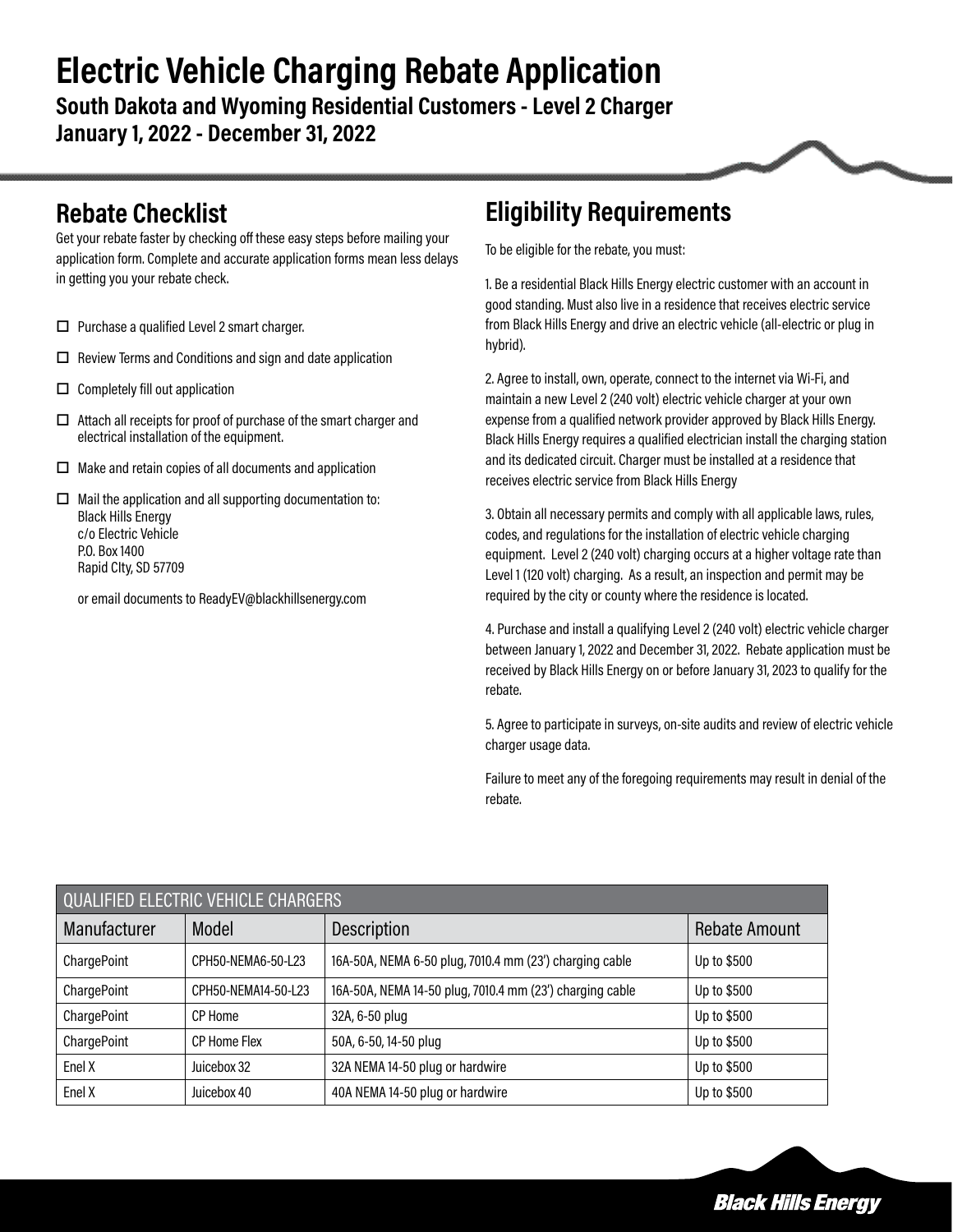# **Electric Vehicle Charging Rebate Application**

**South Dakota and Wyoming Residential Customers - Level 2 Charger January 1, 2022 - December 31, 2022** 

#### **Rebate Checklist**

Get your rebate faster by checking off these easy steps before mailing your application form. Complete and accurate application forms mean less delays in getting you your rebate check.

- $\Box$  Purchase a qualified Level 2 smart charger.
- $\square$  Review Terms and Conditions and sign and date application
- $\Box$  Completely fill out application
- $\Box$  Attach all receipts for proof of purchase of the smart charger and electrical installation of the equipment.
- $\Box$  Make and retain copies of all documents and application
- $\Box$  Mail the application and all supporting documentation to: Black Hills Energy c/o Electric Vehicle P.O. Box 1400 Rapid CIty, SD 57709

or email documents to ReadyEV@blackhillsenergy.com

#### **Eligibility Requirements**

To be eligible for the rebate, you must:

1. Be a residential Black Hills Energy electric customer with an account in good standing. Must also live in a residence that receives electric service from Black Hills Energy and drive an electric vehicle (all-electric or plug in hybrid).

2. Agree to install, own, operate, connect to the internet via Wi-Fi, and maintain a new Level 2 (240 volt) electric vehicle charger at your own expense from a qualified network provider approved by Black Hills Energy. Black Hills Energy requires a qualified electrician install the charging station and its dedicated circuit. Charger must be installed at a residence that receives electric service from Black Hills Energy

3. Obtain all necessary permits and comply with all applicable laws, rules, codes, and regulations for the installation of electric vehicle charging equipment. Level 2 (240 volt) charging occurs at a higher voltage rate than Level 1 (120 volt) charging. As a result, an inspection and permit may be required by the city or county where the residence is located.

4. Purchase and install a qualifying Level 2 (240 volt) electric vehicle charger between January 1, 2022 and December 31, 2022. Rebate application must be received by Black Hills Energy on or before January 31, 2023 to qualify for the rebate.

5. Agree to participate in surveys, on-site audits and review of electric vehicle charger usage data.

Failure to meet any of the foregoing requirements may result in denial of the rebate.

| <b>QUALIFIED ELECTRIC VEHICLE CHARGERS</b> |                     |                                                          |                      |  |  |
|--------------------------------------------|---------------------|----------------------------------------------------------|----------------------|--|--|
| Manufacturer                               | Model               | Description                                              | <b>Rebate Amount</b> |  |  |
| ChargePoint                                | CPH50-NEMA6-50-L23  | 16A-50A, NEMA 6-50 plug, 7010.4 mm (23') charging cable  | Up to \$500          |  |  |
| ChargePoint                                | CPH50-NEMA14-50-L23 | 16A-50A, NEMA 14-50 plug, 7010.4 mm (23') charging cable | Up to \$500          |  |  |
| ChargePoint                                | CP Home             | 32A, 6-50 plug                                           | Up to \$500          |  |  |
| ChargePoint                                | <b>CP Home Flex</b> | 50A, 6-50, 14-50 plug                                    | Up to \$500          |  |  |
| Enel X                                     | Juicebox 32         | 32A NEMA 14-50 plug or hardwire                          | Up to \$500          |  |  |
| Enel X                                     | Juicebox 40         | 40A NEMA 14-50 plug or hardwire                          | Up to \$500          |  |  |

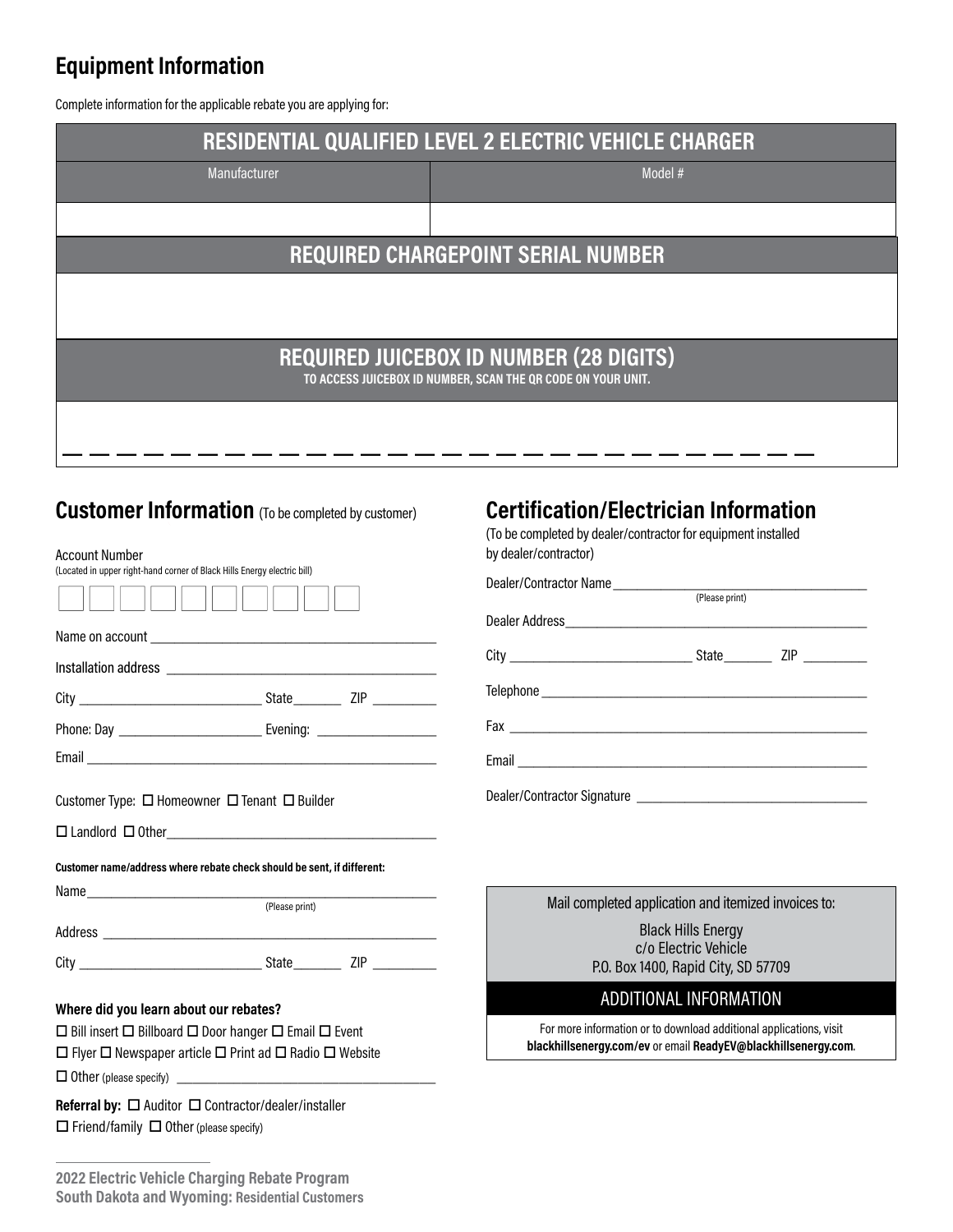#### **Equipment Information**

Complete information for the applicable rebate you are applying for:

| RESIDENTIAL QUALIFIED LEVEL 2 ELECTRIC VEHICLE CHARGER                                                         |                                              |  |  |  |
|----------------------------------------------------------------------------------------------------------------|----------------------------------------------|--|--|--|
| Manufacturer                                                                                                   | Model #                                      |  |  |  |
|                                                                                                                |                                              |  |  |  |
| <b>REQUIRED CHARGEPOINT SERIAL NUMBER</b>                                                                      |                                              |  |  |  |
|                                                                                                                |                                              |  |  |  |
|                                                                                                                |                                              |  |  |  |
| <b>REQUIRED JUICEBOX ID NUMBER (28 DIGITS)</b><br>TO ACCESS JUICEBOX ID NUMBER, SCAN THE QR CODE ON YOUR UNIT. |                                              |  |  |  |
|                                                                                                                |                                              |  |  |  |
|                                                                                                                |                                              |  |  |  |
| <b>Customer Information</b> (To be completed by customer)                                                      | <b>Certification/Electrician Information</b> |  |  |  |

| <b>Account Number</b>                                                             |                | by dealer/contract                          |
|-----------------------------------------------------------------------------------|----------------|---------------------------------------------|
| (Located in upper right-hand corner of Black Hills Energy electric bill)          |                | Dealer/Contractor                           |
|                                                                                   |                | Dealer Address                              |
|                                                                                   |                |                                             |
|                                                                                   |                | Telephone ______                            |
|                                                                                   |                |                                             |
|                                                                                   |                | $E$ mail $\_\_\_\_\_\_\_\_\_\_\_\_\_\_\_\_$ |
| Customer Type: $\Box$ Homeowner $\Box$ Tenant $\Box$ Builder                      |                | Dealer/Contractor                           |
|                                                                                   |                |                                             |
| Customer name/address where rebate check should be sent, if different:            |                |                                             |
|                                                                                   | (Please print) | Mail c                                      |
|                                                                                   |                |                                             |
|                                                                                   |                |                                             |
| Where did you learn about our rebates?                                            |                |                                             |
| $\Box$ Bill insert $\Box$ Billboard $\Box$ Door hanger $\Box$ Email $\Box$ Event  |                | For more                                    |
| $\Box$ Flyer $\Box$ Newspaper article $\Box$ Print ad $\Box$ Radio $\Box$ Website |                | blackhillse                                 |
|                                                                                   |                |                                             |

**Referral by:** □ Auditor □ Contractor/dealer/installer  $\Box$  Friend/family  $\Box$  Other (please specify)

#### **Certification/Electrician Information**

(To be completed by dealer/contractor for equipment installed tor)

| (Please print) |                                       |
|----------------|---------------------------------------|
|                |                                       |
|                | State $\frac{\text{ZIP}}{\text{ZIP}}$ |
|                |                                       |
|                |                                       |
|                |                                       |
|                |                                       |

| Mail completed application and itemized invoices to: |  |  |
|------------------------------------------------------|--|--|
| <b>Black Hills Energy</b>                            |  |  |
| c/o Electric Vehicle                                 |  |  |
| P.O. Box 1400, Rapid City, SD 57709                  |  |  |

#### ADDITIONAL INFORMATION

e information or to download additional applications, visit **blackhillsenergy.com/ev** or email **ReadyEV@blackhillsenergy.com**.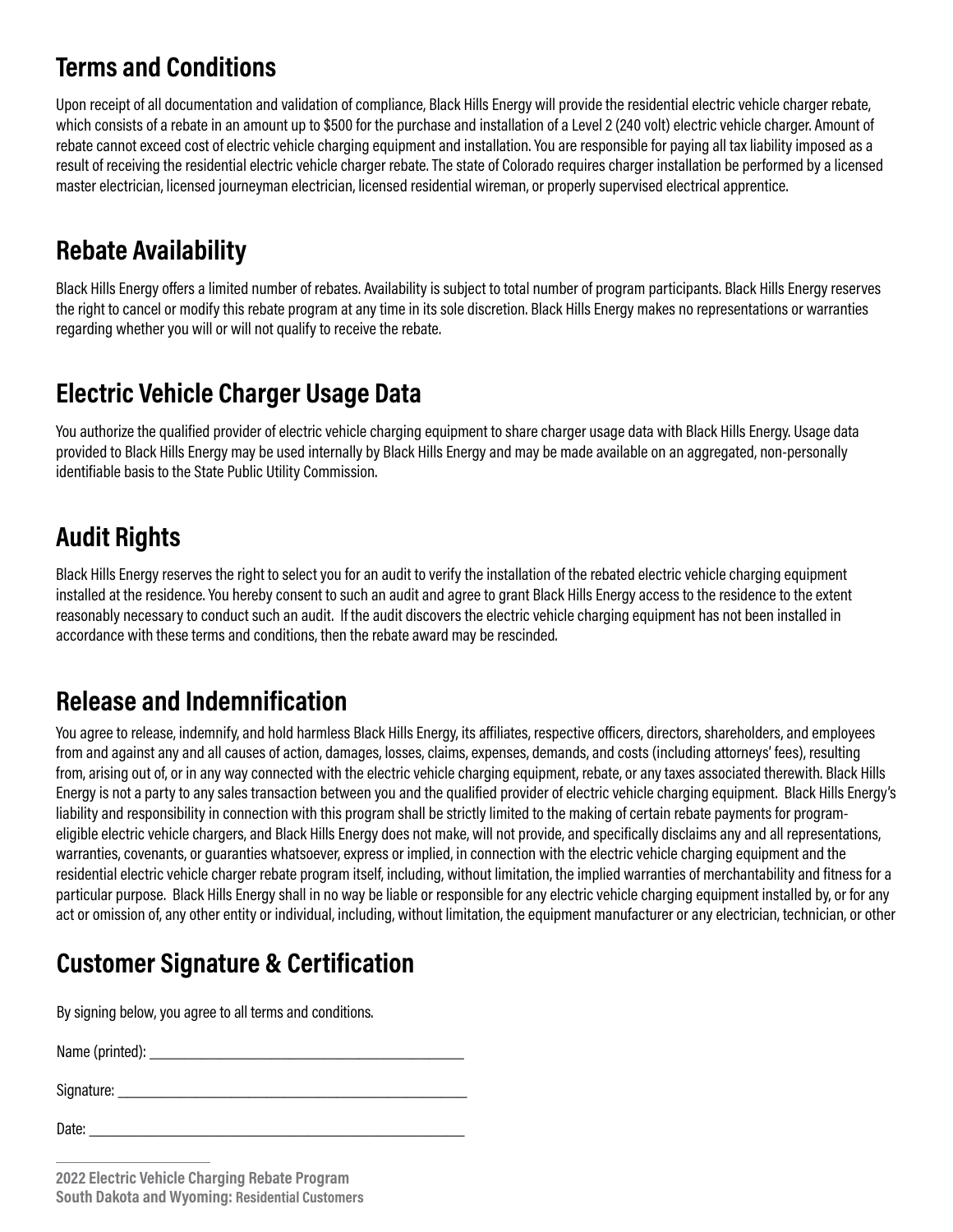### **Terms and Conditions**

Upon receipt of all documentation and validation of compliance, Black Hills Energy will provide the residential electric vehicle charger rebate, which consists of a rebate in an amount up to \$500 for the purchase and installation of a Level 2 (240 volt) electric vehicle charger. Amount of rebate cannot exceed cost of electric vehicle charging equipment and installation. You are responsible for paying all tax liability imposed as a result of receiving the residential electric vehicle charger rebate. The state of Colorado requires charger installation be performed by a licensed master electrician, licensed journeyman electrician, licensed residential wireman, or properly supervised electrical apprentice.

# **Rebate Availability**

Black Hills Energy offers a limited number of rebates. Availability is subject to total number of program participants. Black Hills Energy reserves the right to cancel or modify this rebate program at any time in its sole discretion. Black Hills Energy makes no representations or warranties regarding whether you will or will not qualify to receive the rebate.

## **Electric Vehicle Charger Usage Data**

You authorize the qualified provider of electric vehicle charging equipment to share charger usage data with Black Hills Energy. Usage data provided to Black Hills Energy may be used internally by Black Hills Energy and may be made available on an aggregated, non-personally identifiable basis to the State Public Utility Commission.

# **Audit Rights**

Black Hills Energy reserves the right to select you for an audit to verify the installation of the rebated electric vehicle charging equipment installed at the residence. You hereby consent to such an audit and agree to grant Black Hills Energy access to the residence to the extent reasonably necessary to conduct such an audit. If the audit discovers the electric vehicle charging equipment has not been installed in accordance with these terms and conditions, then the rebate award may be rescinded.

# **Release and Indemnification**

You agree to release, indemnify, and hold harmless Black Hills Energy, its affiliates, respective officers, directors, shareholders, and employees from and against any and all causes of action, damages, losses, claims, expenses, demands, and costs (including attorneys' fees), resulting from, arising out of, or in any way connected with the electric vehicle charging equipment, rebate, or any taxes associated therewith. Black Hills Energy is not a party to any sales transaction between you and the qualified provider of electric vehicle charging equipment. Black Hills Energy's liability and responsibility in connection with this program shall be strictly limited to the making of certain rebate payments for programeligible electric vehicle chargers, and Black Hills Energy does not make, will not provide, and specifically disclaims any and all representations, warranties, covenants, or guaranties whatsoever, express or implied, in connection with the electric vehicle charging equipment and the residential electric vehicle charger rebate program itself, including, without limitation, the implied warranties of merchantability and fitness for a particular purpose. Black Hills Energy shall in no way be liable or responsible for any electric vehicle charging equipment installed by, or for any act or omission of, any other entity or individual, including, without limitation, the equipment manufacturer or any electrician, technician, or other

# **Customer Signature & Certification**

By signing below, you agree to all terms and conditions.

Name (printed): \_\_\_\_\_\_\_\_\_\_\_\_\_\_\_\_\_\_\_\_\_\_\_\_\_\_\_\_\_\_\_\_\_\_\_\_

Signature: \_\_\_\_\_\_\_\_\_\_\_\_\_\_\_\_\_\_\_\_\_\_\_\_\_\_\_\_\_\_\_\_\_\_\_\_\_\_\_\_

Date: \_\_\_\_\_\_\_\_\_\_\_\_\_\_\_\_\_\_\_\_\_\_\_\_\_\_\_\_\_\_\_\_\_\_\_\_\_\_\_\_\_\_\_

**2022 Electric Vehicle Charging Rebate Program South Dakota and Wyoming: Residential Customers**